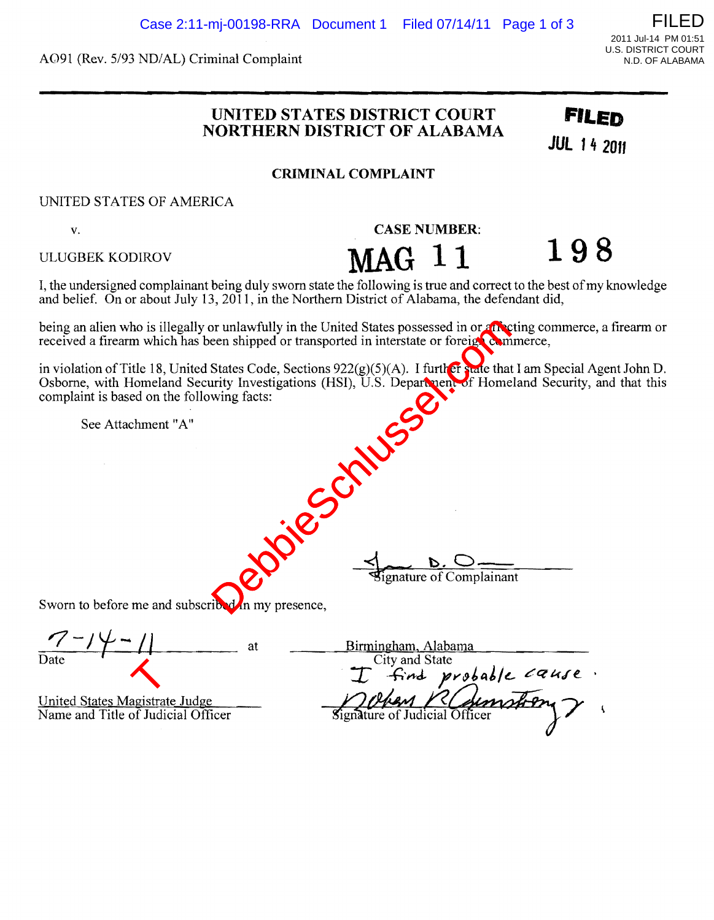A091 (Rev. 5/93 ND/AL) Criminal Complaint

## **UNITED STATES DISTRICT COURT FILED NORTHERN DISTRICT OF ALABAMA**

**JUl 14 <sup>2011</sup>**

**CRIMINAL COMPLAINT** 

UNITED STATES OF AMERICA

v. **CASE NUMBER:** 

ULUGBEK KODIROV **MAG**  $11$  **198** 

I, the undersigned complainant being duly sworn state the following is true and correct to the best of my knowledge and belief. On or about July 13, 2011, in the Northern District of Alabama, the defendant did,

being an alien who is illegally or unlawfully in the United States possessed in or affecting commerce, a firearm or received a firearm which has been shipped or transported in interstate or foreign commerce,

in violation of Title 18, United States Code, Sections 922(g)(5)(A). I further state that I am Special Agent John D. Osborne, with Homeland Security Investigations (HSI), U.S. Department of Homeland Security, and that this complaint is based on the following facts: Break and the United States possessed in or any<br>een shipped or transported in interstate or foreign States Code, Sections 922(g)(5)(A). I further state that<br>mity Investigations (HSI), U.S. Department of Home<br>wing facts:<br>wi

See Attachment "A"

**d b . C**<br>**signature** of Com

Sworn to before me and subscribed in my presence,

United States Magistrate Judge<br>Name and Title of Judicial Officer United States Magistrat<br>Name and Title of Judi<br>Name and Title of Judi

| Birmingham, Alabama |                                                         |
|---------------------|---------------------------------------------------------|
| City and State      |                                                         |
|                     |                                                         |
|                     |                                                         |
|                     |                                                         |
|                     |                                                         |
|                     | I find probable cause.<br>Signature of Judicial Officer |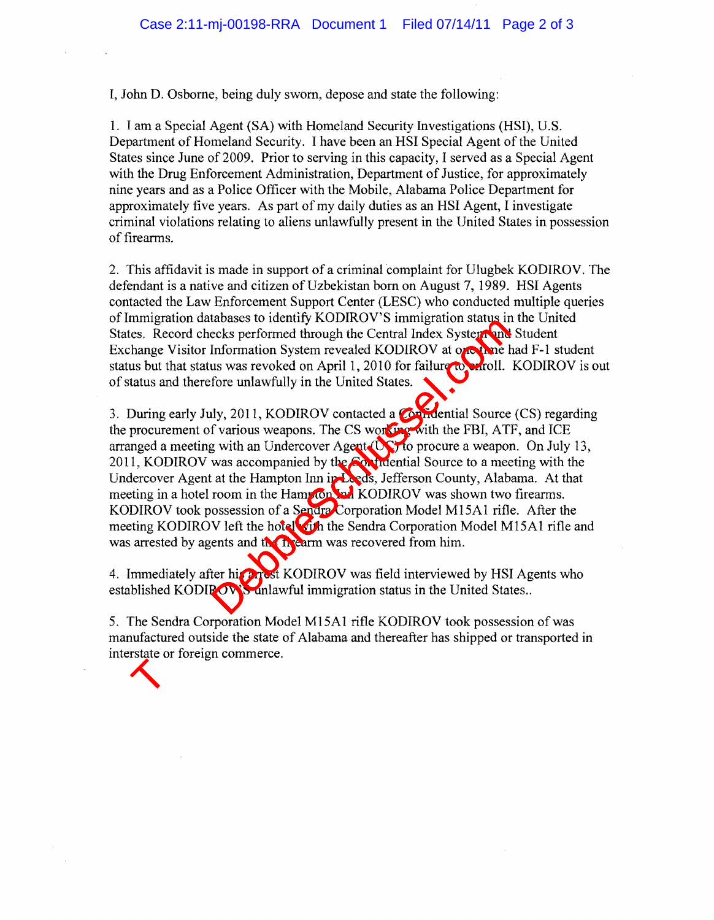I, John D. Osborne, being duly sworn, depose and state the following:

1. I am a Special Agent (SA) with Homeland Security Investigations (HSI), U.S. Department of Homeland Security. I have been an HSI Special Agent of the United States since June of 2009. Prior to serving in this capacity, I served as a Special Agent with the Drug Enforcement Administration, Department of Justice, for approximately nine years and as a Police Officer with the Mobile, Alabama Police Department for approximately five years. As part of my daily duties as an HSI Agent, I investigate criminal violations relating to aliens unlawfully present in the United States in possession of firearms.

2. This affidavit is made in support of a criminal complaint for Ulugbek KODIROV. The defendant is a native and citizen of Uzbekistan born on August 7, 1989. HSI Agents contacted the Law Enforcement Support Center (LESC) who conducted multiple queries ofImmigration databases to identify KODIROV'S immigration status in the United States. Record checks performed through the Central Index System and Student Exchange Visitor Information System revealed KODIROV at one time had F-1 student status but that status was revoked on April 1, 2010 for failure to enroll. KODIROV is out of status and therefore unlawfully in the United States.

3. During early July, 2011, KODIROV contacted a Confidential Source (CS) regarding the procurement of various weapons. The CS working with the FBI, ATF, and ICE arranged a meeting with an Undercover Agent (UC) to procure a weapon. On July 13, 2011, KODIROV was accompanied by the Confidential Source to a meeting with the Undercover Agent at the Hampton Inn in Leeds, Jefferson County, Alabama. At that meeting in a hotel room in the Hampton Inn KODIROV was shown two firearms. KODIROV took possession of a Sendra Corporation Model M15A1 rifle. After the meeting KODIROV left the hotel with the Sendra Corporation Model M15A1 rifle and was arrested by agents and the firearm was recovered from him. The Contract of the Contract of the Contract of the Contract of the Unit<br>absolved in the Central Index Systems Information System revealed KODIROV at or the tus was revoked on April 1, 2010 for failure for the line of vari

4. Immediately after his arrest KODIROV was field interviewed by HSI Agents who established KODIPOV'S unlawful immigration status in the United States..

5. The Sendra Corporation Model M15A1 rifle KODIROV took possession of was manufactured outside the state of Alabama and thereafter has shipped or transported in interstate or foreign commerce. Type your watermark text here